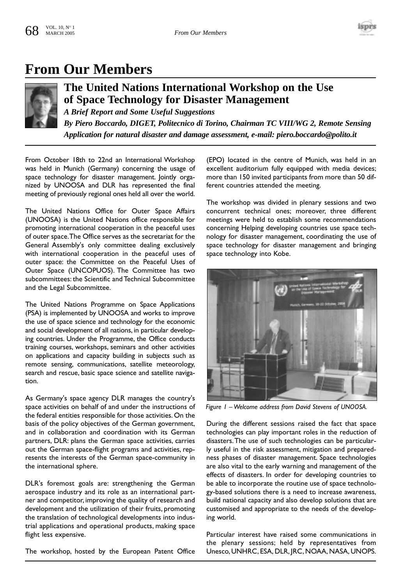

## **From Our Members**



## **The United Nations International Workshop on the Use of Space Technology for Disaster Management**

*A Brief Report and Some Useful Suggestions By Piero Boccardo, DIGET, Politecnico di Torino, Chairman TC VIII/WG 2, Remote Sensing Application for natural disaster and damage assessment, e-mail: piero.boccardo@polito.it*

From October 18th to 22nd an International Workshop was held in Munich (Germany) concerning the usage of space technology for disaster management. Jointly organized by UNOOSA and DLR has represented the final meeting of previously regional ones held all over the world.

The United Nations Office for Outer Space Affairs (UNOOSA) is the United Nations office responsible for promoting international cooperation in the peaceful uses of outer space.The Office serves as the secretariat for the General Assembly's only committee dealing exclusively with international cooperation in the peaceful uses of outer space: the Committee on the Peaceful Uses of Outer Space (UNCOPUOS). The Committee has two subcommittees: the Scientific and Technical Subcommittee and the Legal Subcommittee.

The United Nations Programme on Space Applications (PSA) is implemented by UNOOSA and works to improve the use of space science and technology for the economic and social development of all nations, in particular developing countries. Under the Programme, the Office conducts training courses, workshops, seminars and other activities on applications and capacity building in subjects such as remote sensing, communications, satellite meteorology, search and rescue, basic space science and satellite navigation.

As Germany's space agency DLR manages the country's space activities on behalf of and under the instructions of the federal entities responsible for those activities. On the basis of the policy objectives of the German government, and in collaboration and coordination with its German partners, DLR: plans the German space activities, carries out the German space-flight programs and activities, represents the interests of the German space-community in the international sphere.

DLR's foremost goals are: strengthening the German aerospace industry and its role as an international partner and competitor, improving the quality of research and development and the utilization of their fruits, promoting the translation of technological developments into industrial applications and operational products, making space flight less expensive.

The workshop, hosted by the European Patent Office

(EPO) located in the centre of Munich, was held in an excellent auditorium fully equipped with media devices; more than 150 invited participants from more than 50 different countries attended the meeting.

The workshop was divided in plenary sessions and two concurrent technical ones; moreover, three different meetings were held to establish some recommendations concerning Helping developing countries use space technology for disaster management, coordinating the use of space technology for disaster management and bringing space technology into Kobe.



*Figure 1 – Welcome address from David Stevens of UNOOSA.*

During the different sessions raised the fact that space technologies can play important roles in the reduction of disasters.The use of such technologies can be particularly useful in the risk assessment, mitigation and preparedness phases of disaster management. Space technologies are also vital to the early warning and management of the effects of disasters. In order for developing countries to be able to incorporate the routine use of space technology-based solutions there is a need to increase awareness, build national capacity and also develop solutions that are customised and appropriate to the needs of the developing world.

Particular interest have raised some communications in the plenary sessions; held by representatives from Unesco, UNHRC, ESA, DLR, JRC, NOAA, NASA, UNOPS.